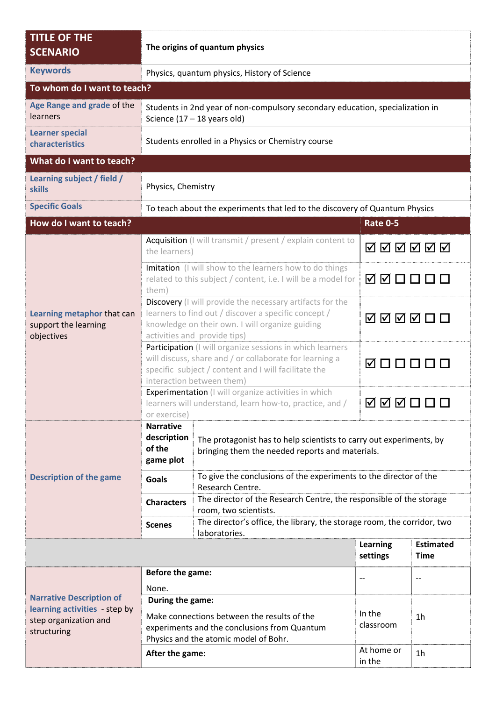| <b>TITLE OF THE</b><br><b>SCENARIO</b>                                                                   | The origins of quantum physics                                                                                                                                                                            |                                                                                                                        |                             |                                 |  |  |  |
|----------------------------------------------------------------------------------------------------------|-----------------------------------------------------------------------------------------------------------------------------------------------------------------------------------------------------------|------------------------------------------------------------------------------------------------------------------------|-----------------------------|---------------------------------|--|--|--|
| <b>Keywords</b>                                                                                          | Physics, quantum physics, History of Science                                                                                                                                                              |                                                                                                                        |                             |                                 |  |  |  |
| To whom do I want to teach?                                                                              |                                                                                                                                                                                                           |                                                                                                                        |                             |                                 |  |  |  |
| Age Range and grade of the<br>learners                                                                   | Students in 2nd year of non-compulsory secondary education, specialization in<br>Science $(17 - 18$ years old)                                                                                            |                                                                                                                        |                             |                                 |  |  |  |
| <b>Learner special</b><br>characteristics                                                                | Students enrolled in a Physics or Chemistry course                                                                                                                                                        |                                                                                                                        |                             |                                 |  |  |  |
| What do I want to teach?                                                                                 |                                                                                                                                                                                                           |                                                                                                                        |                             |                                 |  |  |  |
| Learning subject / field /<br><b>skills</b>                                                              | Physics, Chemistry                                                                                                                                                                                        |                                                                                                                        |                             |                                 |  |  |  |
| <b>Specific Goals</b>                                                                                    | To teach about the experiments that led to the discovery of Quantum Physics                                                                                                                               |                                                                                                                        |                             |                                 |  |  |  |
| How do I want to teach?                                                                                  |                                                                                                                                                                                                           |                                                                                                                        | <b>Rate 0-5</b>             |                                 |  |  |  |
| Learning metaphor that can<br>support the learning<br>objectives                                         | Acquisition (I will transmit / present / explain content to<br>the learners)                                                                                                                              |                                                                                                                        | <b>ØØØØØØ</b>               |                                 |  |  |  |
|                                                                                                          | Imitation (I will show to the learners how to do things<br>related to this subject / content, i.e. I will be a model for<br>them)                                                                         |                                                                                                                        | <b>ØØOOOO</b>               |                                 |  |  |  |
|                                                                                                          | Discovery (I will provide the necessary artifacts for the<br>learners to find out / discover a specific concept /<br>knowledge on their own. I will organize guiding<br>activities and provide tips)      |                                                                                                                        | ◙◙ØØ◘□                      |                                 |  |  |  |
|                                                                                                          | Participation (I will organize sessions in which learners<br>will discuss, share and / or collaborate for learning a<br>specific subject / content and I will facilitate the<br>interaction between them) |                                                                                                                        | <b>Ø□□□□□</b>               |                                 |  |  |  |
|                                                                                                          | Experimentation (I will organize activities in which<br>learners will understand, learn how-to, practice, and /<br>or exercise)                                                                           |                                                                                                                        | <b>ØØØOOO</b>               |                                 |  |  |  |
| <b>Description of the game</b>                                                                           | <b>Narrative</b><br>description<br>of the<br>game plot                                                                                                                                                    | The protagonist has to help scientists to carry out experiments, by<br>bringing them the needed reports and materials. |                             |                                 |  |  |  |
|                                                                                                          | <b>Goals</b>                                                                                                                                                                                              | To give the conclusions of the experiments to the director of the<br>Research Centre.                                  |                             |                                 |  |  |  |
|                                                                                                          | <b>Characters</b>                                                                                                                                                                                         | The director of the Research Centre, the responsible of the storage<br>room, two scientists.                           |                             |                                 |  |  |  |
|                                                                                                          | <b>Scenes</b>                                                                                                                                                                                             | The director's office, the library, the storage room, the corridor, two<br>laboratories.                               |                             |                                 |  |  |  |
|                                                                                                          |                                                                                                                                                                                                           |                                                                                                                        | <b>Learning</b><br>settings | <b>Estimated</b><br><b>Time</b> |  |  |  |
| <b>Narrative Description of</b><br>learning activities - step by<br>step organization and<br>structuring | Before the game:                                                                                                                                                                                          |                                                                                                                        | $-$                         |                                 |  |  |  |
|                                                                                                          | None.<br>During the game:                                                                                                                                                                                 |                                                                                                                        |                             |                                 |  |  |  |
|                                                                                                          | Make connections between the results of the<br>experiments and the conclusions from Quantum<br>Physics and the atomic model of Bohr.                                                                      |                                                                                                                        | In the<br>classroom         | 1 <sub>h</sub>                  |  |  |  |
|                                                                                                          | After the game:                                                                                                                                                                                           |                                                                                                                        | At home or<br>in the        | 1 <sub>h</sub>                  |  |  |  |